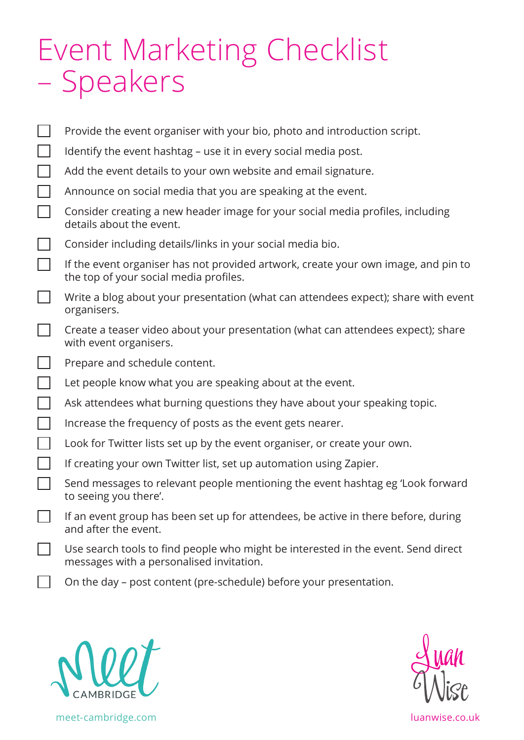## Event Marketing Checklist – Speakers

| Provide the event organiser with your bio, photo and introduction script.                                                     |
|-------------------------------------------------------------------------------------------------------------------------------|
| Identify the event hashtag – use it in every social media post.                                                               |
| Add the event details to your own website and email signature.                                                                |
| Announce on social media that you are speaking at the event.                                                                  |
| Consider creating a new header image for your social media profiles, including<br>details about the event.                    |
| Consider including details/links in your social media bio.                                                                    |
| If the event organiser has not provided artwork, create your own image, and pin to<br>the top of your social media profiles.  |
| Write a blog about your presentation (what can attendees expect); share with event<br>organisers.                             |
| Create a teaser video about your presentation (what can attendees expect); share<br>with event organisers.                    |
| Prepare and schedule content.                                                                                                 |
| Let people know what you are speaking about at the event.                                                                     |
| Ask attendees what burning questions they have about your speaking topic.                                                     |
| Increase the frequency of posts as the event gets nearer.                                                                     |
| Look for Twitter lists set up by the event organiser, or create your own.                                                     |
| If creating your own Twitter list, set up automation using Zapier.                                                            |
| Send messages to relevant people mentioning the event hashtag eg 'Look forward<br>to seeing you there'.                       |
| If an event group has been set up for attendees, be active in there before, during<br>and after the event.                    |
| Use search tools to find people who might be interested in the event. Send direct<br>messages with a personalised invitation. |
| On the day – post content (pre-schedule) before your presentation.                                                            |





meet-cambridge.com luanwise.co.uk